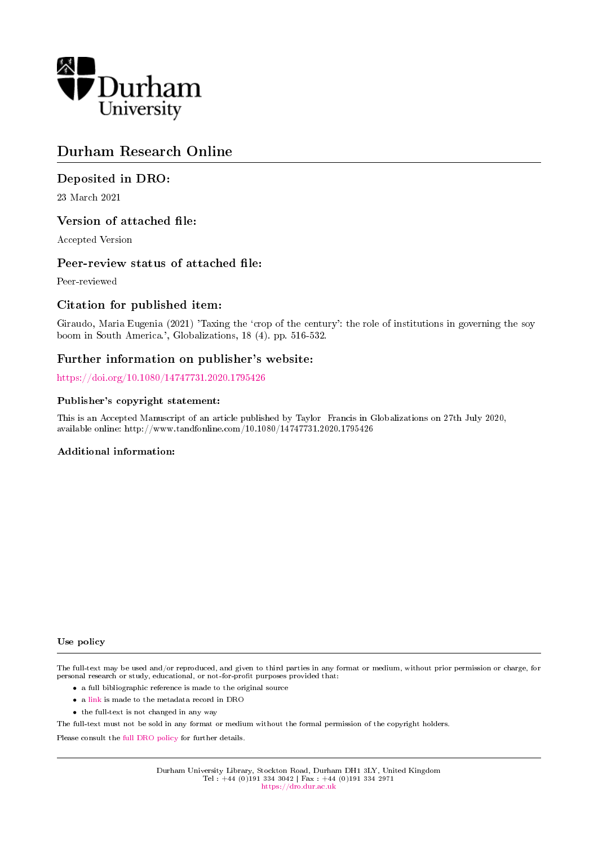

# Durham Research Online

# Deposited in DRO:

23 March 2021

# Version of attached file:

Accepted Version

# Peer-review status of attached file:

Peer-reviewed

# Citation for published item:

Giraudo, Maria Eugenia (2021) 'Taxing the `crop of the century': the role of institutions in governing the soy boom in South America.', Globalizations, 18 (4). pp. 516-532.

# Further information on publisher's website:

<https://doi.org/10.1080/14747731.2020.1795426>

### Publisher's copyright statement:

This is an Accepted Manuscript of an article published by Taylor Francis in Globalizations on 27th July 2020, available online: http://www.tandfonline.com/10.1080/14747731.2020.1795426

## Additional information:

#### Use policy

The full-text may be used and/or reproduced, and given to third parties in any format or medium, without prior permission or charge, for personal research or study, educational, or not-for-profit purposes provided that:

- a full bibliographic reference is made to the original source
- a [link](http://dro.dur.ac.uk/32728/) is made to the metadata record in DRO
- the full-text is not changed in any way

The full-text must not be sold in any format or medium without the formal permission of the copyright holders.

Please consult the [full DRO policy](https://dro.dur.ac.uk/policies/usepolicy.pdf) for further details.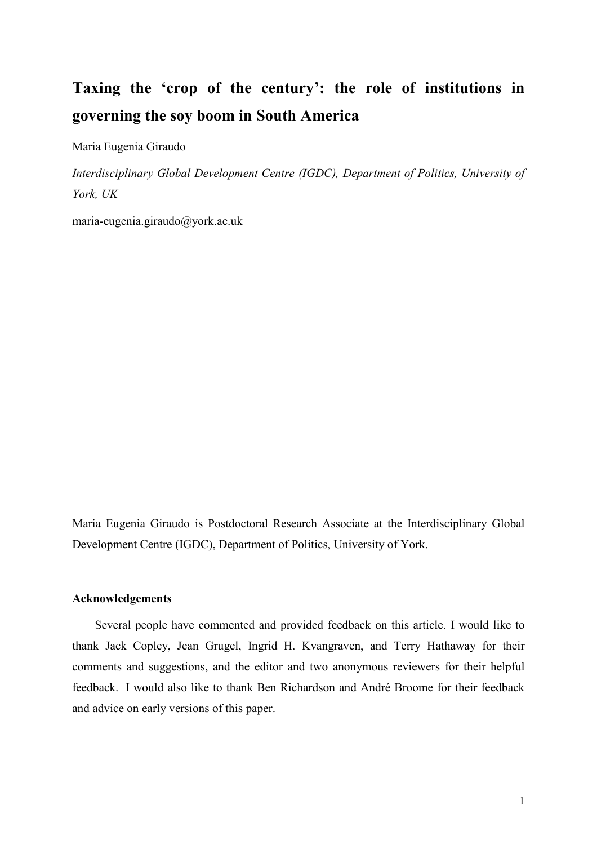# **Taxing the 'crop of the century': the role of institutions in governing the soy boom in South America**

Maria Eugenia Giraudo

*Interdisciplinary Global Development Centre (IGDC), Department of Politics, University of York, UK*

maria-eugenia.giraudo@york.ac.uk

Maria Eugenia Giraudo is Postdoctoral Research Associate at the Interdisciplinary Global Development Centre (IGDC), Department of Politics, University of York.

# **Acknowledgements**

Several people have commented and provided feedback on this article. I would like to thank Jack Copley, Jean Grugel, Ingrid H. Kvangraven, and Terry Hathaway for their comments and suggestions, and the editor and two anonymous reviewers for their helpful feedback. I would also like to thank Ben Richardson and André Broome for their feedback and advice on early versions of this paper.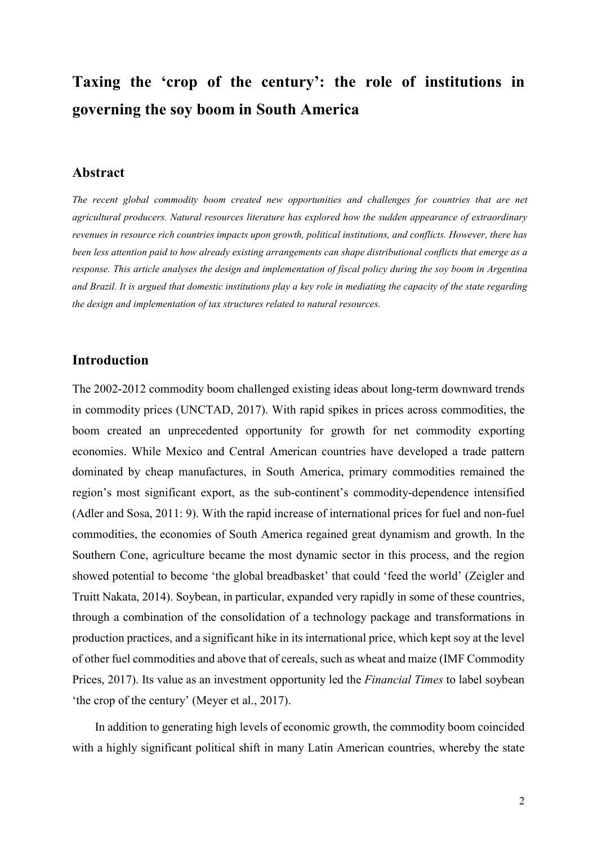# **Taxing the 'crop of the century': the role of institutions in governing the soy boom in South America**

# **Abstract**

*The recent global commodity boom created new opportunities and challenges for countries that are net agricultural producers. Natural resources literature has explored how the sudden appearance of extraordinary revenues in resource rich countries impacts upon growth, political institutions, and conflicts. However, there has been less attention paid to how already existing arrangements can shape distributional conflicts that emerge as a response. This article analyses the design and implementation of fiscal policy during the soy boom in Argentina and Brazil. It is argued that domestic institutions play a key role in mediating the capacity of the state regarding the design and implementation of tax structures related to natural resources.*

# **Introduction**

The 2002-2012 commodity boom challenged existing ideas about long-term downward trends in commodity prices (UNCTAD, 2017). With rapid spikes in prices across commodities, the boom created an unprecedented opportunity for growth for net commodity exporting economies. While Mexico and Central American countries have developed a trade pattern dominated by cheap manufactures, in South America, primary commodities remained the region's most significant export, as the sub-continent's commodity-dependence intensified (Adler and Sosa, 2011: 9). With the rapid increase of international prices for fuel and non-fuel commodities, the economies of South America regained great dynamism and growth. In the Southern Cone, agriculture became the most dynamic sector in this process, and the region showed potential to become 'the global breadbasket' that could 'feed the world' (Zeigler and Truitt Nakata, 2014). Soybean, in particular, expanded very rapidly in some of these countries, through a combination of the consolidation of a technology package and transformations in production practices, and a significant hike in its international price, which kept soy at the level of other fuel commodities and above that of cereals, such as wheat and maize (IMF Commodity Prices, 2017). Its value as an investment opportunity led the *Financial Times* to label soybean 'the crop of the century' (Meyer et al., 2017).

In addition to generating high levels of economic growth, the commodity boom coincided with a highly significant political shift in many Latin American countries, whereby the state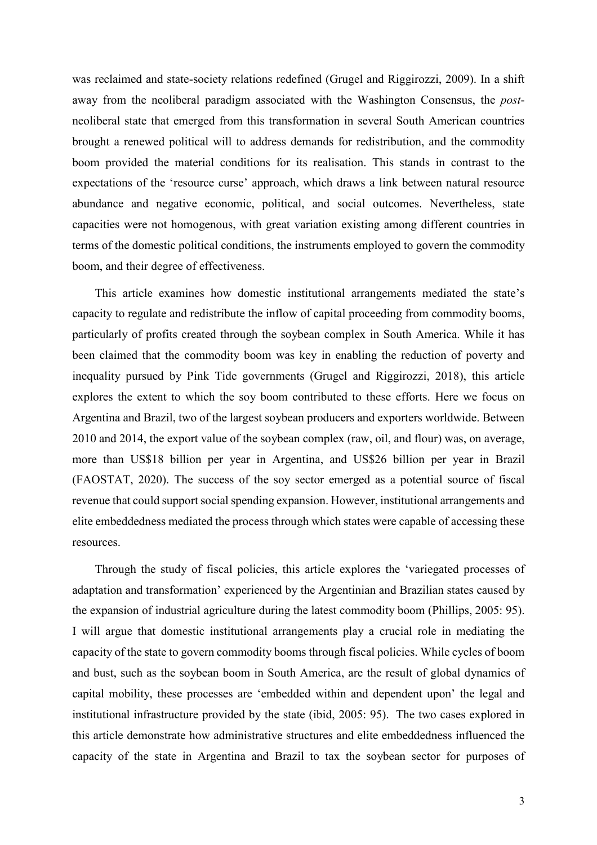was reclaimed and state-society relations redefined (Grugel and Riggirozzi, 2009). In a shift away from the neoliberal paradigm associated with the Washington Consensus, the *post*neoliberal state that emerged from this transformation in several South American countries brought a renewed political will to address demands for redistribution, and the commodity boom provided the material conditions for its realisation. This stands in contrast to the expectations of the 'resource curse' approach, which draws a link between natural resource abundance and negative economic, political, and social outcomes. Nevertheless, state capacities were not homogenous, with great variation existing among different countries in terms of the domestic political conditions, the instruments employed to govern the commodity boom, and their degree of effectiveness.

This article examines how domestic institutional arrangements mediated the state's capacity to regulate and redistribute the inflow of capital proceeding from commodity booms, particularly of profits created through the soybean complex in South America. While it has been claimed that the commodity boom was key in enabling the reduction of poverty and inequality pursued by Pink Tide governments (Grugel and Riggirozzi, 2018), this article explores the extent to which the soy boom contributed to these efforts. Here we focus on Argentina and Brazil, two of the largest soybean producers and exporters worldwide. Between 2010 and 2014, the export value of the soybean complex (raw, oil, and flour) was, on average, more than US\$18 billion per year in Argentina, and US\$26 billion per year in Brazil (FAOSTAT, 2020). The success of the soy sector emerged as a potential source of fiscal revenue that could support social spending expansion. However, institutional arrangements and elite embeddedness mediated the process through which states were capable of accessing these resources.

Through the study of fiscal policies, this article explores the 'variegated processes of adaptation and transformation' experienced by the Argentinian and Brazilian states caused by the expansion of industrial agriculture during the latest commodity boom (Phillips, 2005: 95). I will argue that domestic institutional arrangements play a crucial role in mediating the capacity of the state to govern commodity booms through fiscal policies. While cycles of boom and bust, such as the soybean boom in South America, are the result of global dynamics of capital mobility, these processes are 'embedded within and dependent upon' the legal and institutional infrastructure provided by the state (ibid, 2005: 95). The two cases explored in this article demonstrate how administrative structures and elite embeddedness influenced the capacity of the state in Argentina and Brazil to tax the soybean sector for purposes of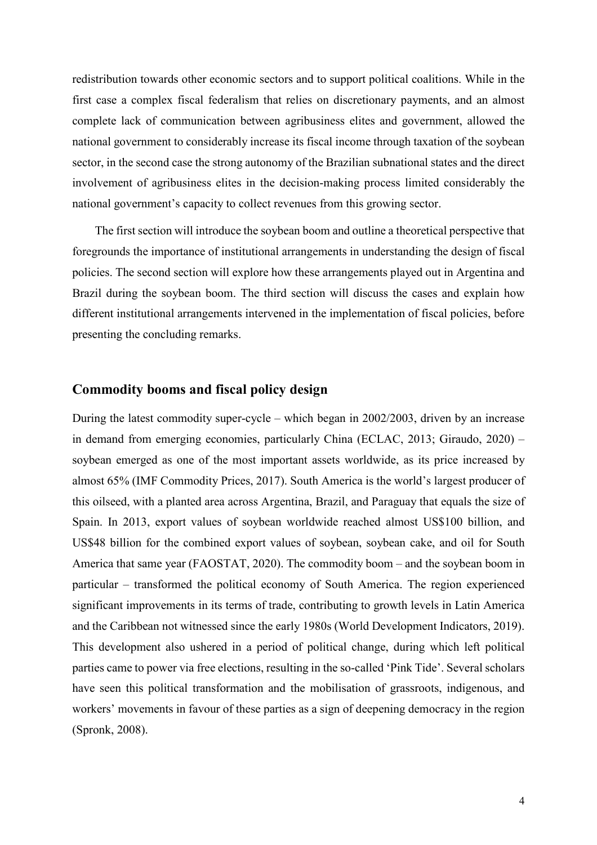redistribution towards other economic sectors and to support political coalitions. While in the first case a complex fiscal federalism that relies on discretionary payments, and an almost complete lack of communication between agribusiness elites and government, allowed the national government to considerably increase its fiscal income through taxation of the soybean sector, in the second case the strong autonomy of the Brazilian subnational states and the direct involvement of agribusiness elites in the decision-making process limited considerably the national government's capacity to collect revenues from this growing sector.

The first section will introduce the soybean boom and outline a theoretical perspective that foregrounds the importance of institutional arrangements in understanding the design of fiscal policies. The second section will explore how these arrangements played out in Argentina and Brazil during the soybean boom. The third section will discuss the cases and explain how different institutional arrangements intervened in the implementation of fiscal policies, before presenting the concluding remarks.

# **Commodity booms and fiscal policy design**

During the latest commodity super-cycle – which began in 2002/2003, driven by an increase in demand from emerging economies, particularly China (ECLAC, 2013; Giraudo, 2020) – soybean emerged as one of the most important assets worldwide, as its price increased by almost 65% (IMF Commodity Prices, 2017). South America is the world's largest producer of this oilseed, with a planted area across Argentina, Brazil, and Paraguay that equals the size of Spain. In 2013, export values of soybean worldwide reached almost US\$100 billion, and US\$48 billion for the combined export values of soybean, soybean cake, and oil for South America that same year (FAOSTAT, 2020). The commodity boom – and the soybean boom in particular – transformed the political economy of South America. The region experienced significant improvements in its terms of trade, contributing to growth levels in Latin America and the Caribbean not witnessed since the early 1980s (World Development Indicators, 2019). This development also ushered in a period of political change, during which left political parties came to power via free elections, resulting in the so-called 'Pink Tide'. Several scholars have seen this political transformation and the mobilisation of grassroots, indigenous, and workers' movements in favour of these parties as a sign of deepening democracy in the region (Spronk, 2008).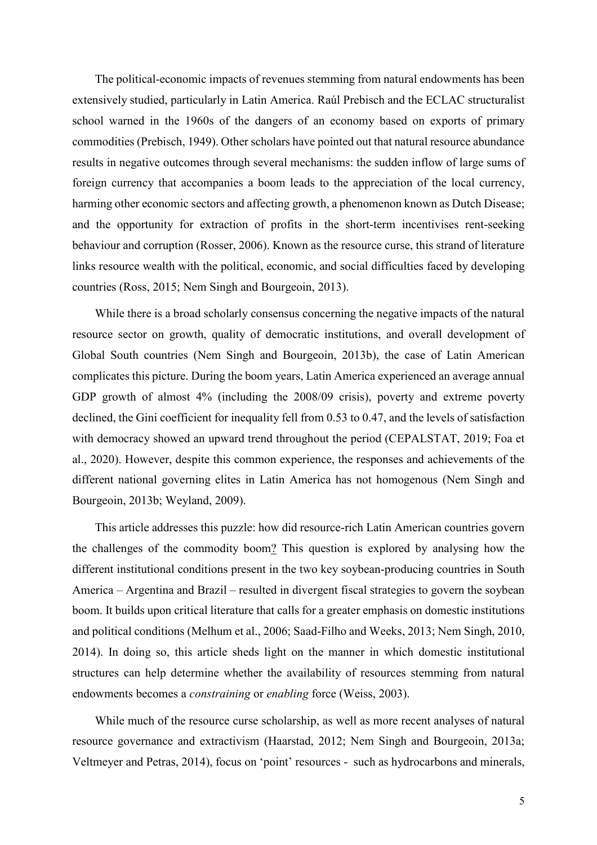The political-economic impacts of revenues stemming from natural endowments has been extensively studied, particularly in Latin America. Raúl Prebisch and the ECLAC structuralist school warned in the 1960s of the dangers of an economy based on exports of primary commodities (Prebisch, 1949). Other scholars have pointed out that natural resource abundance results in negative outcomes through several mechanisms: the sudden inflow of large sums of foreign currency that accompanies a boom leads to the appreciation of the local currency, harming other economic sectors and affecting growth, a phenomenon known as Dutch Disease; and the opportunity for extraction of profits in the short-term incentivises rent-seeking behaviour and corruption (Rosser, 2006). Known as the resource curse, this strand of literature links resource wealth with the political, economic, and social difficulties faced by developing countries (Ross, 2015; Nem Singh and Bourgeoin, 2013).

While there is a broad scholarly consensus concerning the negative impacts of the natural resource sector on growth, quality of democratic institutions, and overall development of Global South countries (Nem Singh and Bourgeoin, 2013b), the case of Latin American complicates this picture. During the boom years, Latin America experienced an average annual GDP growth of almost 4% (including the 2008/09 crisis), poverty and extreme poverty declined, the Gini coefficient for inequality fell from 0.53 to 0.47, and the levels of satisfaction with democracy showed an upward trend throughout the period (CEPALSTAT, 2019; Foa et al., 2020). However, despite this common experience, the responses and achievements of the different national governing elites in Latin America has not homogenous (Nem Singh and Bourgeoin, 2013b; Weyland, 2009).

This article addresses this puzzle: how did resource-rich Latin American countries govern the challenges of the commodity boom? This question is explored by analysing how the different institutional conditions present in the two key soybean-producing countries in South America – Argentina and Brazil – resulted in divergent fiscal strategies to govern the soybean boom. It builds upon critical literature that calls for a greater emphasis on domestic institutions and political conditions (Melhum et al., 2006; Saad-Filho and Weeks, 2013; Nem Singh, 2010, 2014). In doing so, this article sheds light on the manner in which domestic institutional structures can help determine whether the availability of resources stemming from natural endowments becomes a *constraining* or *enabling* force (Weiss, 2003).

While much of the resource curse scholarship, as well as more recent analyses of natural resource governance and extractivism (Haarstad, 2012; Nem Singh and Bourgeoin, 2013a; Veltmeyer and Petras, 2014), focus on 'point' resources - such as hydrocarbons and minerals,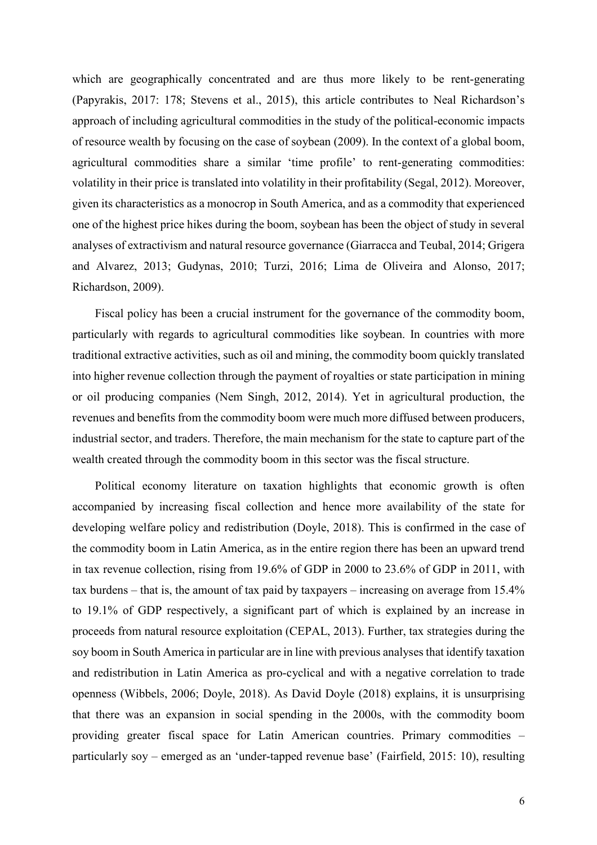which are geographically concentrated and are thus more likely to be rent-generating (Papyrakis, 2017: 178; Stevens et al., 2015), this article contributes to Neal Richardson's approach of including agricultural commodities in the study of the political-economic impacts of resource wealth by focusing on the case of soybean (2009). In the context of a global boom, agricultural commodities share a similar 'time profile' to rent-generating commodities: volatility in their price is translated into volatility in their profitability (Segal, 2012). Moreover, given its characteristics as a monocrop in South America, and as a commodity that experienced one of the highest price hikes during the boom, soybean has been the object of study in several analyses of extractivism and natural resource governance (Giarracca and Teubal, 2014; Grigera and Alvarez, 2013; Gudynas, 2010; Turzi, 2016; Lima de Oliveira and Alonso, 2017; Richardson, 2009).

Fiscal policy has been a crucial instrument for the governance of the commodity boom, particularly with regards to agricultural commodities like soybean. In countries with more traditional extractive activities, such as oil and mining, the commodity boom quickly translated into higher revenue collection through the payment of royalties or state participation in mining or oil producing companies (Nem Singh, 2012, 2014). Yet in agricultural production, the revenues and benefits from the commodity boom were much more diffused between producers, industrial sector, and traders. Therefore, the main mechanism for the state to capture part of the wealth created through the commodity boom in this sector was the fiscal structure.

Political economy literature on taxation highlights that economic growth is often accompanied by increasing fiscal collection and hence more availability of the state for developing welfare policy and redistribution (Doyle, 2018). This is confirmed in the case of the commodity boom in Latin America, as in the entire region there has been an upward trend in tax revenue collection, rising from 19.6% of GDP in 2000 to 23.6% of GDP in 2011, with tax burdens – that is, the amount of tax paid by taxpayers – increasing on average from 15.4% to 19.1% of GDP respectively, a significant part of which is explained by an increase in proceeds from natural resource exploitation (CEPAL, 2013). Further, tax strategies during the soy boom in South America in particular are in line with previous analyses that identify taxation and redistribution in Latin America as pro-cyclical and with a negative correlation to trade openness (Wibbels, 2006; Doyle, 2018). As David Doyle (2018) explains, it is unsurprising that there was an expansion in social spending in the 2000s, with the commodity boom providing greater fiscal space for Latin American countries. Primary commodities – particularly soy – emerged as an 'under-tapped revenue base' (Fairfield, 2015: 10), resulting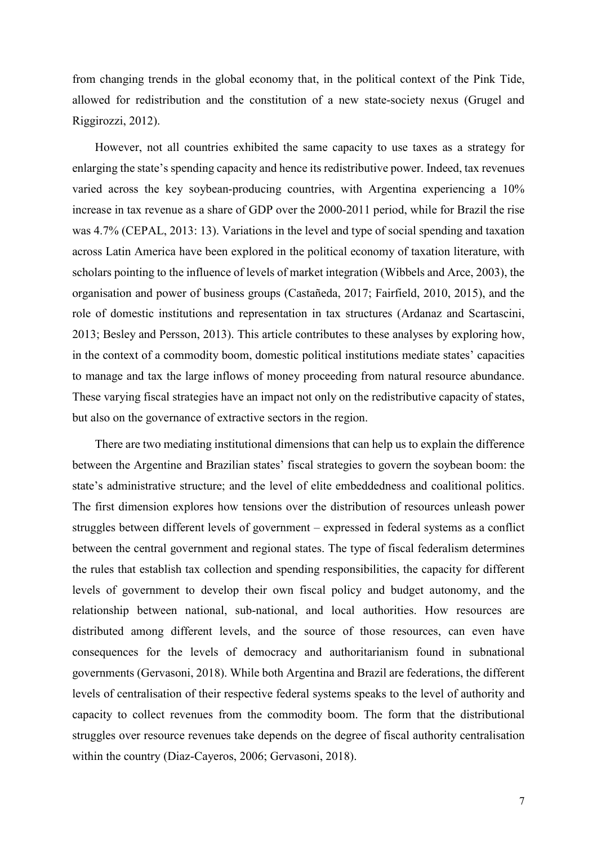from changing trends in the global economy that, in the political context of the Pink Tide, allowed for redistribution and the constitution of a new state-society nexus (Grugel and Riggirozzi, 2012).

However, not all countries exhibited the same capacity to use taxes as a strategy for enlarging the state's spending capacity and hence its redistributive power. Indeed, tax revenues varied across the key soybean-producing countries, with Argentina experiencing a 10% increase in tax revenue as a share of GDP over the 2000-2011 period, while for Brazil the rise was 4.7% (CEPAL, 2013: 13). Variations in the level and type of social spending and taxation across Latin America have been explored in the political economy of taxation literature, with scholars pointing to the influence of levels of market integration (Wibbels and Arce, 2003), the organisation and power of business groups (Castañeda, 2017; Fairfield, 2010, 2015), and the role of domestic institutions and representation in tax structures (Ardanaz and Scartascini, 2013; Besley and Persson, 2013). This article contributes to these analyses by exploring how, in the context of a commodity boom, domestic political institutions mediate states' capacities to manage and tax the large inflows of money proceeding from natural resource abundance. These varying fiscal strategies have an impact not only on the redistributive capacity of states, but also on the governance of extractive sectors in the region.

There are two mediating institutional dimensions that can help us to explain the difference between the Argentine and Brazilian states' fiscal strategies to govern the soybean boom: the state's administrative structure; and the level of elite embeddedness and coalitional politics. The first dimension explores how tensions over the distribution of resources unleash power struggles between different levels of government – expressed in federal systems as a conflict between the central government and regional states. The type of fiscal federalism determines the rules that establish tax collection and spending responsibilities, the capacity for different levels of government to develop their own fiscal policy and budget autonomy, and the relationship between national, sub-national, and local authorities. How resources are distributed among different levels, and the source of those resources, can even have consequences for the levels of democracy and authoritarianism found in subnational governments (Gervasoni, 2018). While both Argentina and Brazil are federations, the different levels of centralisation of their respective federal systems speaks to the level of authority and capacity to collect revenues from the commodity boom. The form that the distributional struggles over resource revenues take depends on the degree of fiscal authority centralisation within the country (Diaz-Cayeros, 2006; Gervasoni, 2018).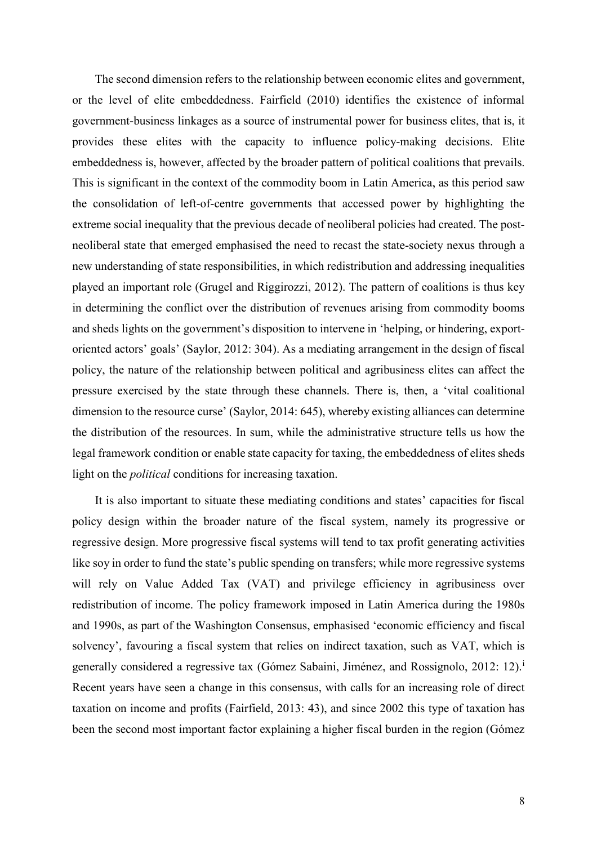The second dimension refers to the relationship between economic elites and government, or the level of elite embeddedness. Fairfield (2010) identifies the existence of informal government-business linkages as a source of instrumental power for business elites, that is, it provides these elites with the capacity to influence policy-making decisions. Elite embeddedness is, however, affected by the broader pattern of political coalitions that prevails. This is significant in the context of the commodity boom in Latin America, as this period saw the consolidation of left-of-centre governments that accessed power by highlighting the extreme social inequality that the previous decade of neoliberal policies had created. The postneoliberal state that emerged emphasised the need to recast the state-society nexus through a new understanding of state responsibilities, in which redistribution and addressing inequalities played an important role (Grugel and Riggirozzi, 2012). The pattern of coalitions is thus key in determining the conflict over the distribution of revenues arising from commodity booms and sheds lights on the government's disposition to intervene in 'helping, or hindering, exportoriented actors' goals' (Saylor, 2012: 304). As a mediating arrangement in the design of fiscal policy, the nature of the relationship between political and agribusiness elites can affect the pressure exercised by the state through these channels. There is, then, a 'vital coalitional dimension to the resource curse' (Saylor, 2014: 645), whereby existing alliances can determine the distribution of the resources. In sum, while the administrative structure tells us how the legal framework condition or enable state capacity for taxing, the embeddedness of elites sheds light on the *political* conditions for increasing taxation.

It is also important to situate these mediating conditions and states' capacities for fiscal policy design within the broader nature of the fiscal system, namely its progressive or regressive design. More progressive fiscal systems will tend to tax profit generating activities like soy in order to fund the state's public spending on transfers; while more regressive systems will rely on Value Added Tax (VAT) and privilege efficiency in agribusiness over redistribution of income. The policy framework imposed in Latin America during the 1980s and 1990s, as part of the Washington Consensus, emphasised 'economic efficiency and fiscal solvency', favouring a fiscal system that relies on indirect taxation, such as VAT, which is generally cons[i](#page-20-0)dered a regressive tax (Gómez Sabaini, Jiménez, and Rossignolo, 2012: 12).<sup>i</sup> Recent years have seen a change in this consensus, with calls for an increasing role of direct taxation on income and profits (Fairfield, 2013: 43), and since 2002 this type of taxation has been the second most important factor explaining a higher fiscal burden in the region (Gómez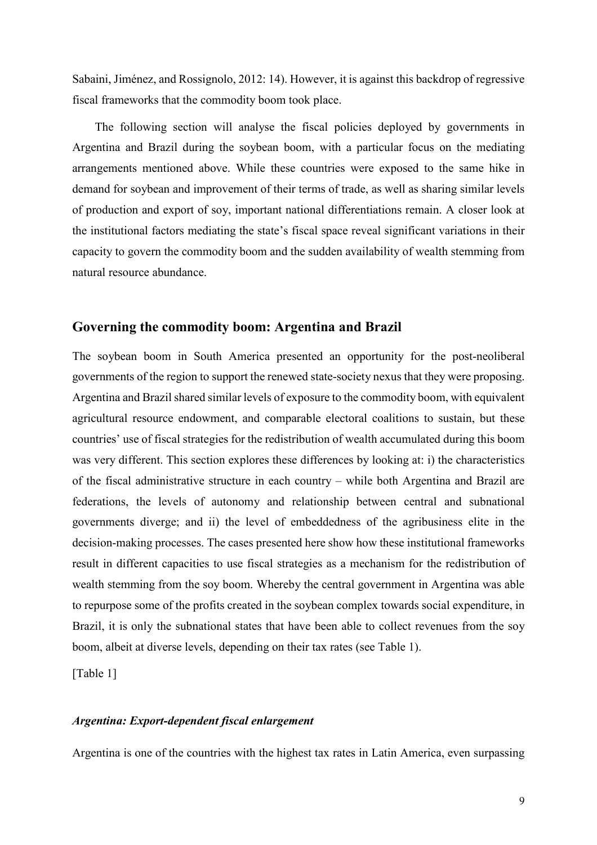Sabaini, Jiménez, and Rossignolo, 2012: 14). However, it is against this backdrop of regressive fiscal frameworks that the commodity boom took place.

The following section will analyse the fiscal policies deployed by governments in Argentina and Brazil during the soybean boom, with a particular focus on the mediating arrangements mentioned above. While these countries were exposed to the same hike in demand for soybean and improvement of their terms of trade, as well as sharing similar levels of production and export of soy, important national differentiations remain. A closer look at the institutional factors mediating the state's fiscal space reveal significant variations in their capacity to govern the commodity boom and the sudden availability of wealth stemming from natural resource abundance.

# **Governing the commodity boom: Argentina and Brazil**

The soybean boom in South America presented an opportunity for the post-neoliberal governments of the region to support the renewed state-society nexus that they were proposing. Argentina and Brazil shared similar levels of exposure to the commodity boom, with equivalent agricultural resource endowment, and comparable electoral coalitions to sustain, but these countries' use of fiscal strategies for the redistribution of wealth accumulated during this boom was very different. This section explores these differences by looking at: i) the characteristics of the fiscal administrative structure in each country – while both Argentina and Brazil are federations, the levels of autonomy and relationship between central and subnational governments diverge; and ii) the level of embeddedness of the agribusiness elite in the decision-making processes. The cases presented here show how these institutional frameworks result in different capacities to use fiscal strategies as a mechanism for the redistribution of wealth stemming from the soy boom. Whereby the central government in Argentina was able to repurpose some of the profits created in the soybean complex towards social expenditure, in Brazil, it is only the subnational states that have been able to collect revenues from the soy boom, albeit at diverse levels, depending on their tax rates (see Table 1).

[Table 1]

## *Argentina: Export-dependent fiscal enlargement*

Argentina is one of the countries with the highest tax rates in Latin America, even surpassing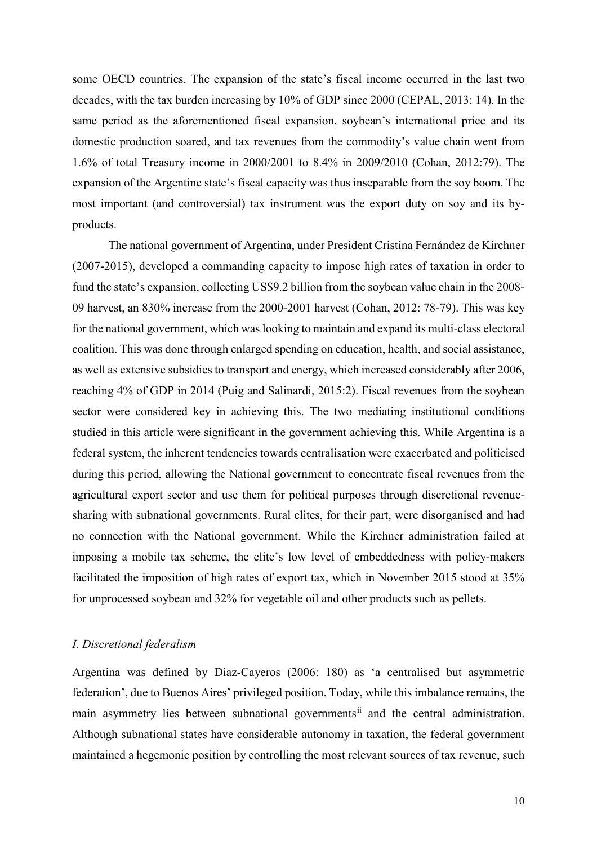some OECD countries. The expansion of the state's fiscal income occurred in the last two decades, with the tax burden increasing by 10% of GDP since 2000 (CEPAL, 2013: 14). In the same period as the aforementioned fiscal expansion, soybean's international price and its domestic production soared, and tax revenues from the commodity's value chain went from 1.6% of total Treasury income in 2000/2001 to 8.4% in 2009/2010 (Cohan, 2012:79). The expansion of the Argentine state's fiscal capacity was thus inseparable from the soy boom. The most important (and controversial) tax instrument was the export duty on soy and its byproducts.

The national government of Argentina, under President Cristina Fernández de Kirchner (2007-2015), developed a commanding capacity to impose high rates of taxation in order to fund the state's expansion, collecting US\$9.2 billion from the soybean value chain in the 2008- 09 harvest, an 830% increase from the 2000-2001 harvest (Cohan, 2012: 78-79). This was key for the national government, which was looking to maintain and expand its multi-class electoral coalition. This was done through enlarged spending on education, health, and social assistance, as well as extensive subsidies to transport and energy, which increased considerably after 2006, reaching 4% of GDP in 2014 (Puig and Salinardi, 2015:2). Fiscal revenues from the soybean sector were considered key in achieving this. The two mediating institutional conditions studied in this article were significant in the government achieving this. While Argentina is a federal system, the inherent tendencies towards centralisation were exacerbated and politicised during this period, allowing the National government to concentrate fiscal revenues from the agricultural export sector and use them for political purposes through discretional revenuesharing with subnational governments. Rural elites, for their part, were disorganised and had no connection with the National government. While the Kirchner administration failed at imposing a mobile tax scheme, the elite's low level of embeddedness with policy-makers facilitated the imposition of high rates of export tax, which in November 2015 stood at 35% for unprocessed soybean and 32% for vegetable oil and other products such as pellets.

## *I. Discretional federalism*

Argentina was defined by Diaz-Cayeros (2006: 180) as 'a centralised but asymmetric federation', due to Buenos Aires' privileged position. Today, while this imbalance remains, the main asymmetry lies between subnational governments<sup>[ii](#page-20-1)</sup> and the central administration. Although subnational states have considerable autonomy in taxation, the federal government maintained a hegemonic position by controlling the most relevant sources of tax revenue, such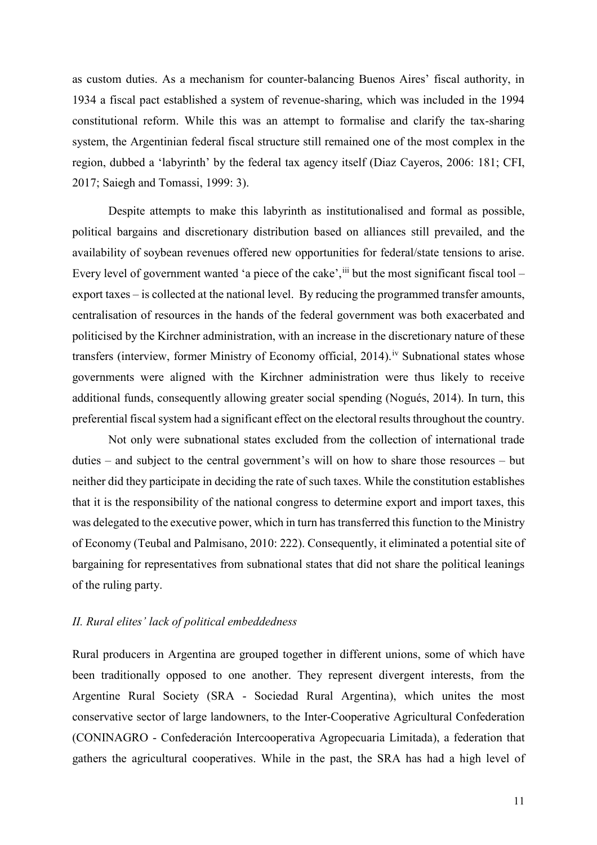as custom duties. As a mechanism for counter-balancing Buenos Aires' fiscal authority, in 1934 a fiscal pact established a system of revenue-sharing, which was included in the 1994 constitutional reform. While this was an attempt to formalise and clarify the tax-sharing system, the Argentinian federal fiscal structure still remained one of the most complex in the region, dubbed a 'labyrinth' by the federal tax agency itself (Diaz Cayeros, 2006: 181; CFI, 2017; Saiegh and Tomassi, 1999: 3).

Despite attempts to make this labyrinth as institutionalised and formal as possible, political bargains and discretionary distribution based on alliances still prevailed, and the availability of soybean revenues offered new opportunities for federal/state tensions to arise. Every level of government wanted 'a piece of the cake',  $\ddot{ }$  but the most significant fiscal tool – export taxes – is collected at the national level. By reducing the programmed transfer amounts, centralisation of resources in the hands of the federal government was both exacerbated and politicised by the Kirchner administration, with an increase in the discretionary nature of these transfers (interview, former Ministry of Economy official, 2014).<sup>[iv](#page-20-3)</sup> Subnational states whose governments were aligned with the Kirchner administration were thus likely to receive additional funds, consequently allowing greater social spending (Nogués, 2014). In turn, this preferential fiscal system had a significant effect on the electoral results throughout the country.

Not only were subnational states excluded from the collection of international trade duties – and subject to the central government's will on how to share those resources – but neither did they participate in deciding the rate of such taxes. While the constitution establishes that it is the responsibility of the national congress to determine export and import taxes, this was delegated to the executive power, which in turn has transferred this function to the Ministry of Economy (Teubal and Palmisano, 2010: 222). Consequently, it eliminated a potential site of bargaining for representatives from subnational states that did not share the political leanings of the ruling party.

## *II. Rural elites' lack of political embeddedness*

Rural producers in Argentina are grouped together in different unions, some of which have been traditionally opposed to one another. They represent divergent interests, from the Argentine Rural Society (SRA - Sociedad Rural Argentina), which unites the most conservative sector of large landowners, to the Inter-Cooperative Agricultural Confederation (CONINAGRO - Confederación Intercooperativa Agropecuaria Limitada), a federation that gathers the agricultural cooperatives. While in the past, the SRA has had a high level of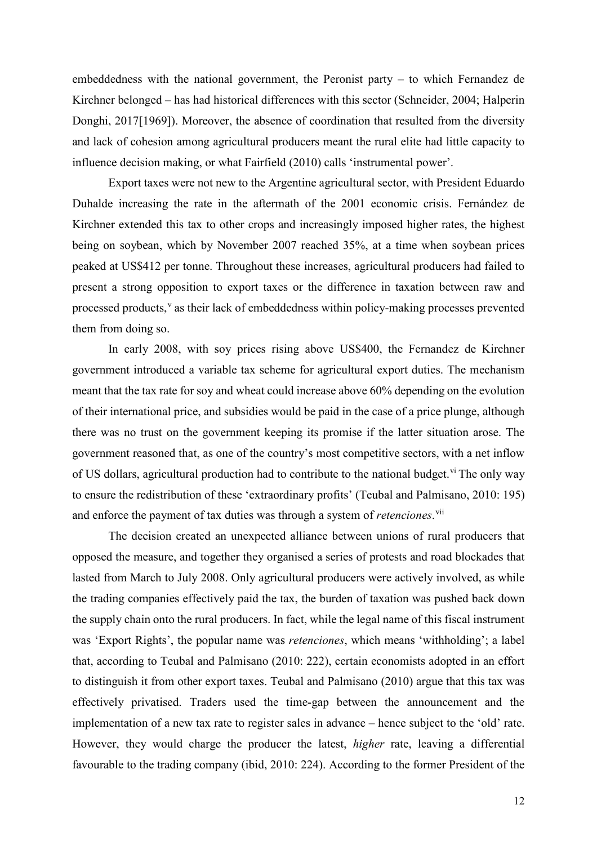embeddedness with the national government, the Peronist party – to which Fernandez de Kirchner belonged – has had historical differences with this sector (Schneider, 2004; Halperin Donghi, 2017[1969]). Moreover, the absence of coordination that resulted from the diversity and lack of cohesion among agricultural producers meant the rural elite had little capacity to influence decision making, or what Fairfield (2010) calls 'instrumental power'.

Export taxes were not new to the Argentine agricultural sector, with President Eduardo Duhalde increasing the rate in the aftermath of the 2001 economic crisis. Fernández de Kirchner extended this tax to other crops and increasingly imposed higher rates, the highest being on soybean, which by November 2007 reached 35%, at a time when soybean prices peaked at US\$412 per tonne. Throughout these increases, agricultural producers had failed to present a strong opposition to export taxes or the difference in taxation between raw and processed products,<sup>[v](#page-20-4)</sup> as their lack of embeddedness within policy-making processes prevented them from doing so.

In early 2008, with soy prices rising above US\$400, the Fernandez de Kirchner government introduced a variable tax scheme for agricultural export duties. The mechanism meant that the tax rate for soy and wheat could increase above 60% depending on the evolution of their international price, and subsidies would be paid in the case of a price plunge, although there was no trust on the government keeping its promise if the latter situation arose. The government reasoned that, as one of the country's most competitive sectors, with a net inflow of US dollars, agricultural production had to contribute to the national budget.<sup>[vi](#page-20-5)</sup> The only way to ensure the redistribution of these 'extraordinary profits' (Teubal and Palmisano, 2010: 195) and enforce the payment of tax duties was through a system of *retenciones*. [vii](#page-20-6)

The decision created an unexpected alliance between unions of rural producers that opposed the measure, and together they organised a series of protests and road blockades that lasted from March to July 2008. Only agricultural producers were actively involved, as while the trading companies effectively paid the tax, the burden of taxation was pushed back down the supply chain onto the rural producers. In fact, while the legal name of this fiscal instrument was 'Export Rights', the popular name was *retenciones*, which means 'withholding'; a label that, according to Teubal and Palmisano (2010: 222), certain economists adopted in an effort to distinguish it from other export taxes. Teubal and Palmisano (2010) argue that this tax was effectively privatised. Traders used the time-gap between the announcement and the implementation of a new tax rate to register sales in advance – hence subject to the 'old' rate. However, they would charge the producer the latest, *higher* rate, leaving a differential favourable to the trading company (ibid, 2010: 224). According to the former President of the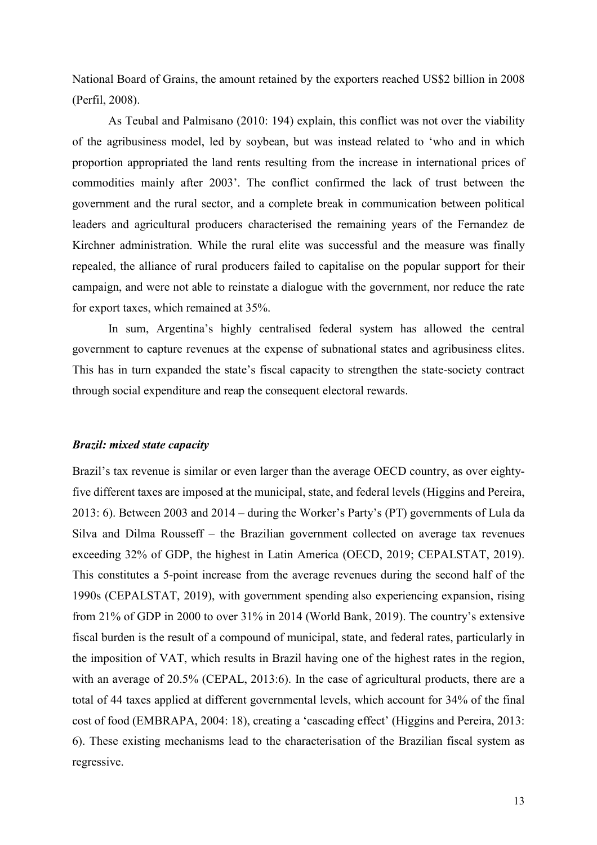National Board of Grains, the amount retained by the exporters reached US\$2 billion in 2008 (Perfil, 2008).

As Teubal and Palmisano (2010: 194) explain, this conflict was not over the viability of the agribusiness model, led by soybean, but was instead related to 'who and in which proportion appropriated the land rents resulting from the increase in international prices of commodities mainly after 2003'. The conflict confirmed the lack of trust between the government and the rural sector, and a complete break in communication between political leaders and agricultural producers characterised the remaining years of the Fernandez de Kirchner administration. While the rural elite was successful and the measure was finally repealed, the alliance of rural producers failed to capitalise on the popular support for their campaign, and were not able to reinstate a dialogue with the government, nor reduce the rate for export taxes, which remained at 35%.

In sum, Argentina's highly centralised federal system has allowed the central government to capture revenues at the expense of subnational states and agribusiness elites. This has in turn expanded the state's fiscal capacity to strengthen the state-society contract through social expenditure and reap the consequent electoral rewards.

## *Brazil: mixed state capacity*

Brazil's tax revenue is similar or even larger than the average OECD country, as over eightyfive different taxes are imposed at the municipal, state, and federal levels (Higgins and Pereira, 2013: 6). Between 2003 and 2014 – during the Worker's Party's (PT) governments of Lula da Silva and Dilma Rousseff – the Brazilian government collected on average tax revenues exceeding 32% of GDP, the highest in Latin America (OECD, 2019; CEPALSTAT, 2019). This constitutes a 5-point increase from the average revenues during the second half of the 1990s (CEPALSTAT, 2019), with government spending also experiencing expansion, rising from 21% of GDP in 2000 to over 31% in 2014 (World Bank, 2019). The country's extensive fiscal burden is the result of a compound of municipal, state, and federal rates, particularly in the imposition of VAT, which results in Brazil having one of the highest rates in the region, with an average of 20.5% (CEPAL, 2013:6). In the case of agricultural products, there are a total of 44 taxes applied at different governmental levels, which account for 34% of the final cost of food (EMBRAPA, 2004: 18), creating a 'cascading effect' (Higgins and Pereira, 2013: 6). These existing mechanisms lead to the characterisation of the Brazilian fiscal system as regressive.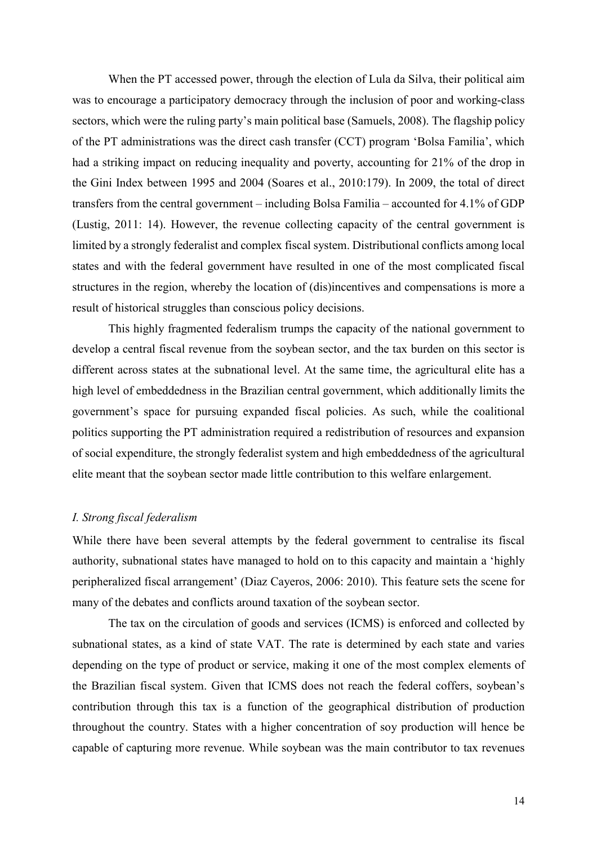When the PT accessed power, through the election of Lula da Silva, their political aim was to encourage a participatory democracy through the inclusion of poor and working-class sectors, which were the ruling party's main political base (Samuels, 2008). The flagship policy of the PT administrations was the direct cash transfer (CCT) program 'Bolsa Familia', which had a striking impact on reducing inequality and poverty, accounting for 21% of the drop in the Gini Index between 1995 and 2004 (Soares et al., 2010:179). In 2009, the total of direct transfers from the central government – including Bolsa Familia – accounted for 4.1% of GDP (Lustig, 2011: 14). However, the revenue collecting capacity of the central government is limited by a strongly federalist and complex fiscal system. Distributional conflicts among local states and with the federal government have resulted in one of the most complicated fiscal structures in the region, whereby the location of (dis)incentives and compensations is more a result of historical struggles than conscious policy decisions.

This highly fragmented federalism trumps the capacity of the national government to develop a central fiscal revenue from the soybean sector, and the tax burden on this sector is different across states at the subnational level. At the same time, the agricultural elite has a high level of embeddedness in the Brazilian central government, which additionally limits the government's space for pursuing expanded fiscal policies. As such, while the coalitional politics supporting the PT administration required a redistribution of resources and expansion of social expenditure, the strongly federalist system and high embeddedness of the agricultural elite meant that the soybean sector made little contribution to this welfare enlargement.

## *I. Strong fiscal federalism*

While there have been several attempts by the federal government to centralise its fiscal authority, subnational states have managed to hold on to this capacity and maintain a 'highly peripheralized fiscal arrangement' (Diaz Cayeros, 2006: 2010). This feature sets the scene for many of the debates and conflicts around taxation of the soybean sector.

The tax on the circulation of goods and services (ICMS) is enforced and collected by subnational states, as a kind of state VAT. The rate is determined by each state and varies depending on the type of product or service, making it one of the most complex elements of the Brazilian fiscal system. Given that ICMS does not reach the federal coffers, soybean's contribution through this tax is a function of the geographical distribution of production throughout the country. States with a higher concentration of soy production will hence be capable of capturing more revenue. While soybean was the main contributor to tax revenues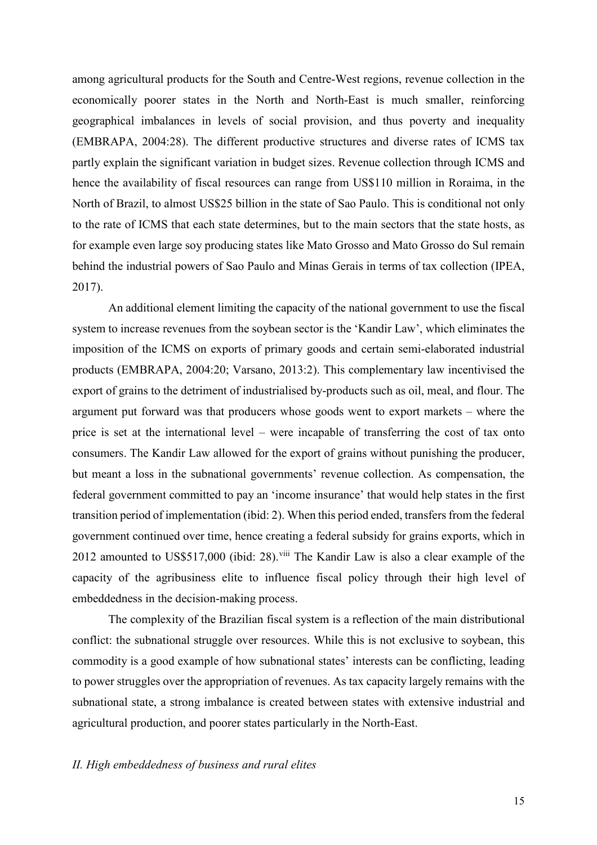among agricultural products for the South and Centre-West regions, revenue collection in the economically poorer states in the North and North-East is much smaller, reinforcing geographical imbalances in levels of social provision, and thus poverty and inequality (EMBRAPA, 2004:28). The different productive structures and diverse rates of ICMS tax partly explain the significant variation in budget sizes. Revenue collection through ICMS and hence the availability of fiscal resources can range from US\$110 million in Roraima, in the North of Brazil, to almost US\$25 billion in the state of Sao Paulo. This is conditional not only to the rate of ICMS that each state determines, but to the main sectors that the state hosts, as for example even large soy producing states like Mato Grosso and Mato Grosso do Sul remain behind the industrial powers of Sao Paulo and Minas Gerais in terms of tax collection (IPEA, 2017).

An additional element limiting the capacity of the national government to use the fiscal system to increase revenues from the soybean sector is the 'Kandir Law', which eliminates the imposition of the ICMS on exports of primary goods and certain semi-elaborated industrial products (EMBRAPA, 2004:20; Varsano, 2013:2). This complementary law incentivised the export of grains to the detriment of industrialised by-products such as oil, meal, and flour. The argument put forward was that producers whose goods went to export markets – where the price is set at the international level – were incapable of transferring the cost of tax onto consumers. The Kandir Law allowed for the export of grains without punishing the producer, but meant a loss in the subnational governments' revenue collection. As compensation, the federal government committed to pay an 'income insurance' that would help states in the first transition period of implementation (ibid: 2). When this period ended, transfers from the federal government continued over time, hence creating a federal subsidy for grains exports, which in 2012 amounted to US\$517,000 (ibid: 28).<sup>[viii](#page-20-7)</sup> The Kandir Law is also a clear example of the capacity of the agribusiness elite to influence fiscal policy through their high level of embeddedness in the decision-making process.

The complexity of the Brazilian fiscal system is a reflection of the main distributional conflict: the subnational struggle over resources. While this is not exclusive to soybean, this commodity is a good example of how subnational states' interests can be conflicting, leading to power struggles over the appropriation of revenues. As tax capacity largely remains with the subnational state, a strong imbalance is created between states with extensive industrial and agricultural production, and poorer states particularly in the North-East.

## *II. High embeddedness of business and rural elites*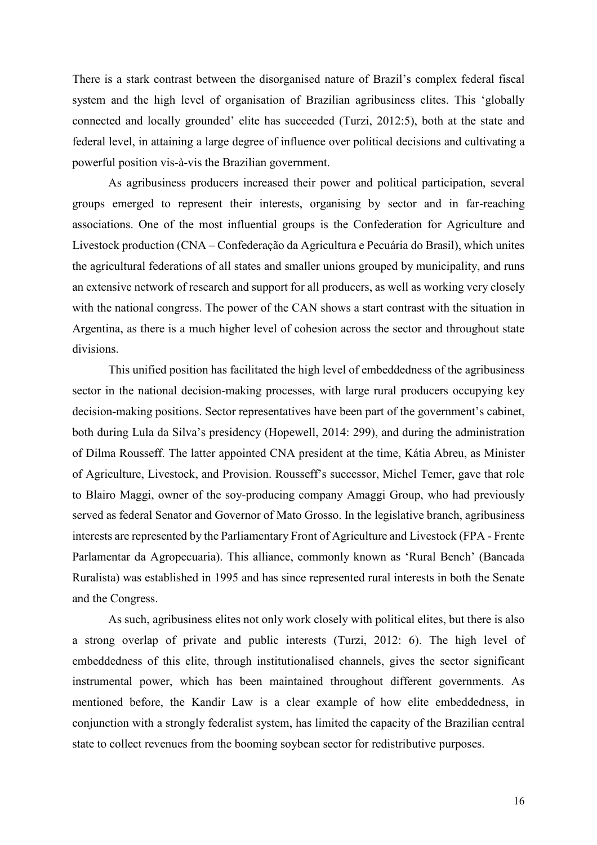There is a stark contrast between the disorganised nature of Brazil's complex federal fiscal system and the high level of organisation of Brazilian agribusiness elites. This 'globally connected and locally grounded' elite has succeeded (Turzi, 2012:5), both at the state and federal level, in attaining a large degree of influence over political decisions and cultivating a powerful position vis-à-vis the Brazilian government.

As agribusiness producers increased their power and political participation, several groups emerged to represent their interests, organising by sector and in far-reaching associations. One of the most influential groups is the Confederation for Agriculture and Livestock production (CNA – Confederação da Agricultura e Pecuária do Brasil), which unites the agricultural federations of all states and smaller unions grouped by municipality, and runs an extensive network of research and support for all producers, as well as working very closely with the national congress. The power of the CAN shows a start contrast with the situation in Argentina, as there is a much higher level of cohesion across the sector and throughout state divisions.

This unified position has facilitated the high level of embeddedness of the agribusiness sector in the national decision-making processes, with large rural producers occupying key decision-making positions. Sector representatives have been part of the government's cabinet, both during Lula da Silva's presidency (Hopewell, 2014: 299), and during the administration of Dilma Rousseff. The latter appointed CNA president at the time, Kátia Abreu, as Minister of Agriculture, Livestock, and Provision. Rousseff's successor, Michel Temer, gave that role to Blairo Maggi, owner of the soy-producing company Amaggi Group, who had previously served as federal Senator and Governor of Mato Grosso. In the legislative branch, agribusiness interests are represented by the Parliamentary Front of Agriculture and Livestock (FPA - Frente Parlamentar da Agropecuaria). This alliance, commonly known as 'Rural Bench' (Bancada Ruralista) was established in 1995 and has since represented rural interests in both the Senate and the Congress.

As such, agribusiness elites not only work closely with political elites, but there is also a strong overlap of private and public interests (Turzi, 2012: 6). The high level of embeddedness of this elite, through institutionalised channels, gives the sector significant instrumental power, which has been maintained throughout different governments. As mentioned before, the Kandir Law is a clear example of how elite embeddedness, in conjunction with a strongly federalist system, has limited the capacity of the Brazilian central state to collect revenues from the booming soybean sector for redistributive purposes.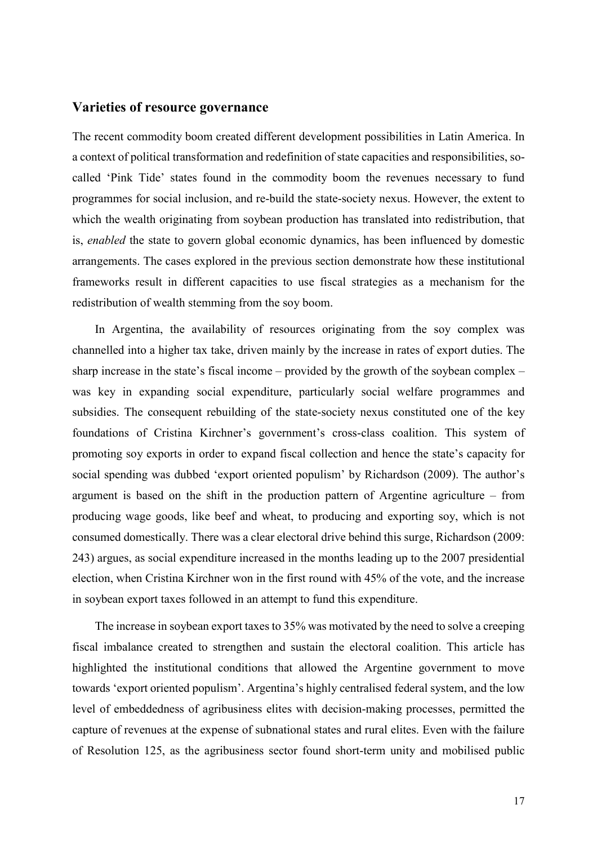# **Varieties of resource governance**

The recent commodity boom created different development possibilities in Latin America. In a context of political transformation and redefinition of state capacities and responsibilities, socalled 'Pink Tide' states found in the commodity boom the revenues necessary to fund programmes for social inclusion, and re-build the state-society nexus. However, the extent to which the wealth originating from soybean production has translated into redistribution, that is, *enabled* the state to govern global economic dynamics, has been influenced by domestic arrangements. The cases explored in the previous section demonstrate how these institutional frameworks result in different capacities to use fiscal strategies as a mechanism for the redistribution of wealth stemming from the soy boom.

In Argentina, the availability of resources originating from the soy complex was channelled into a higher tax take, driven mainly by the increase in rates of export duties. The sharp increase in the state's fiscal income – provided by the growth of the soybean complex – was key in expanding social expenditure, particularly social welfare programmes and subsidies. The consequent rebuilding of the state-society nexus constituted one of the key foundations of Cristina Kirchner's government's cross-class coalition. This system of promoting soy exports in order to expand fiscal collection and hence the state's capacity for social spending was dubbed 'export oriented populism' by Richardson (2009). The author's argument is based on the shift in the production pattern of Argentine agriculture – from producing wage goods, like beef and wheat, to producing and exporting soy, which is not consumed domestically. There was a clear electoral drive behind this surge, Richardson (2009: 243) argues, as social expenditure increased in the months leading up to the 2007 presidential election, when Cristina Kirchner won in the first round with 45% of the vote, and the increase in soybean export taxes followed in an attempt to fund this expenditure.

The increase in soybean export taxes to 35% was motivated by the need to solve a creeping fiscal imbalance created to strengthen and sustain the electoral coalition. This article has highlighted the institutional conditions that allowed the Argentine government to move towards 'export oriented populism'. Argentina's highly centralised federal system, and the low level of embeddedness of agribusiness elites with decision-making processes, permitted the capture of revenues at the expense of subnational states and rural elites. Even with the failure of Resolution 125, as the agribusiness sector found short-term unity and mobilised public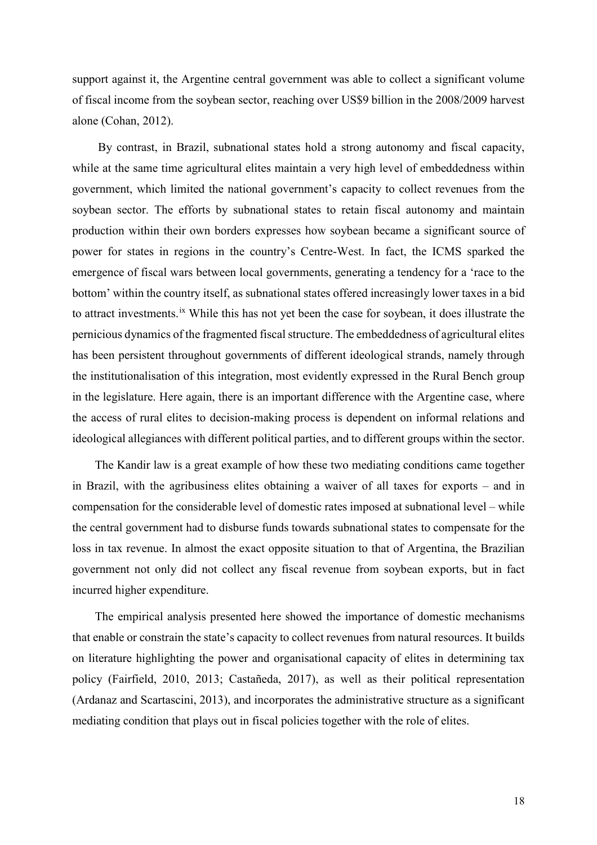support against it, the Argentine central government was able to collect a significant volume of fiscal income from the soybean sector, reaching over US\$9 billion in the 2008/2009 harvest alone (Cohan, 2012).

By contrast, in Brazil, subnational states hold a strong autonomy and fiscal capacity, while at the same time agricultural elites maintain a very high level of embeddedness within government, which limited the national government's capacity to collect revenues from the soybean sector. The efforts by subnational states to retain fiscal autonomy and maintain production within their own borders expresses how soybean became a significant source of power for states in regions in the country's Centre-West. In fact, the ICMS sparked the emergence of fiscal wars between local governments, generating a tendency for a 'race to the bottom' within the country itself, as subnational states offered increasingly lower taxes in a bid to attract investments.[ix](#page-20-8) While this has not yet been the case for soybean, it does illustrate the pernicious dynamics of the fragmented fiscal structure. The embeddedness of agricultural elites has been persistent throughout governments of different ideological strands, namely through the institutionalisation of this integration, most evidently expressed in the Rural Bench group in the legislature. Here again, there is an important difference with the Argentine case, where the access of rural elites to decision-making process is dependent on informal relations and ideological allegiances with different political parties, and to different groups within the sector.

The Kandir law is a great example of how these two mediating conditions came together in Brazil, with the agribusiness elites obtaining a waiver of all taxes for exports – and in compensation for the considerable level of domestic rates imposed at subnational level – while the central government had to disburse funds towards subnational states to compensate for the loss in tax revenue. In almost the exact opposite situation to that of Argentina, the Brazilian government not only did not collect any fiscal revenue from soybean exports, but in fact incurred higher expenditure.

The empirical analysis presented here showed the importance of domestic mechanisms that enable or constrain the state's capacity to collect revenues from natural resources. It builds on literature highlighting the power and organisational capacity of elites in determining tax policy (Fairfield, 2010, 2013; Castañeda, 2017), as well as their political representation (Ardanaz and Scartascini, 2013), and incorporates the administrative structure as a significant mediating condition that plays out in fiscal policies together with the role of elites.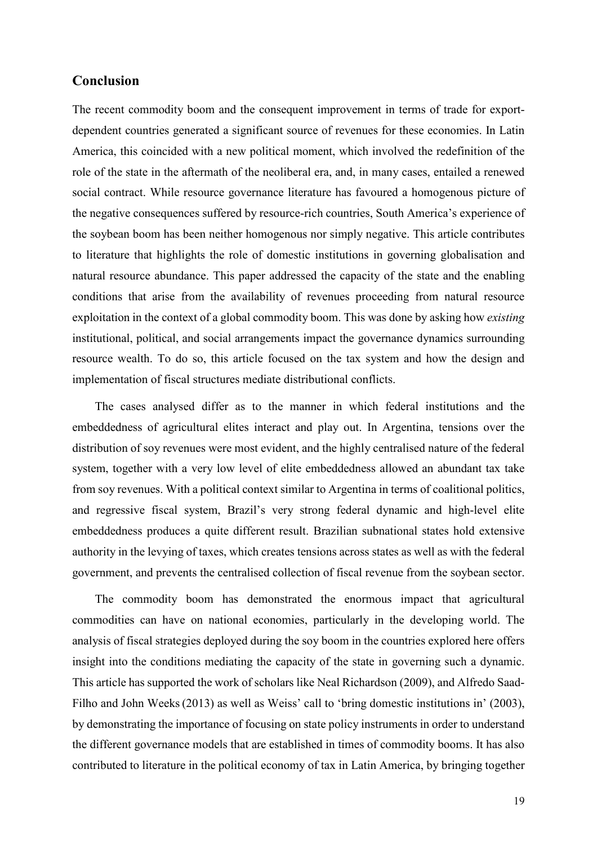# **Conclusion**

The recent commodity boom and the consequent improvement in terms of trade for exportdependent countries generated a significant source of revenues for these economies. In Latin America, this coincided with a new political moment, which involved the redefinition of the role of the state in the aftermath of the neoliberal era, and, in many cases, entailed a renewed social contract. While resource governance literature has favoured a homogenous picture of the negative consequences suffered by resource-rich countries, South America's experience of the soybean boom has been neither homogenous nor simply negative. This article contributes to literature that highlights the role of domestic institutions in governing globalisation and natural resource abundance. This paper addressed the capacity of the state and the enabling conditions that arise from the availability of revenues proceeding from natural resource exploitation in the context of a global commodity boom. This was done by asking how *existing* institutional, political, and social arrangements impact the governance dynamics surrounding resource wealth. To do so, this article focused on the tax system and how the design and implementation of fiscal structures mediate distributional conflicts.

The cases analysed differ as to the manner in which federal institutions and the embeddedness of agricultural elites interact and play out. In Argentina, tensions over the distribution of soy revenues were most evident, and the highly centralised nature of the federal system, together with a very low level of elite embeddedness allowed an abundant tax take from soy revenues. With a political context similar to Argentina in terms of coalitional politics, and regressive fiscal system, Brazil's very strong federal dynamic and high-level elite embeddedness produces a quite different result. Brazilian subnational states hold extensive authority in the levying of taxes, which creates tensions across states as well as with the federal government, and prevents the centralised collection of fiscal revenue from the soybean sector.

The commodity boom has demonstrated the enormous impact that agricultural commodities can have on national economies, particularly in the developing world. The analysis of fiscal strategies deployed during the soy boom in the countries explored here offers insight into the conditions mediating the capacity of the state in governing such a dynamic. This article has supported the work of scholars like Neal Richardson (2009), and Alfredo Saad-Filho and John Weeks(2013) as well as Weiss' call to 'bring domestic institutions in' (2003), by demonstrating the importance of focusing on state policy instruments in order to understand the different governance models that are established in times of commodity booms. It has also contributed to literature in the political economy of tax in Latin America, by bringing together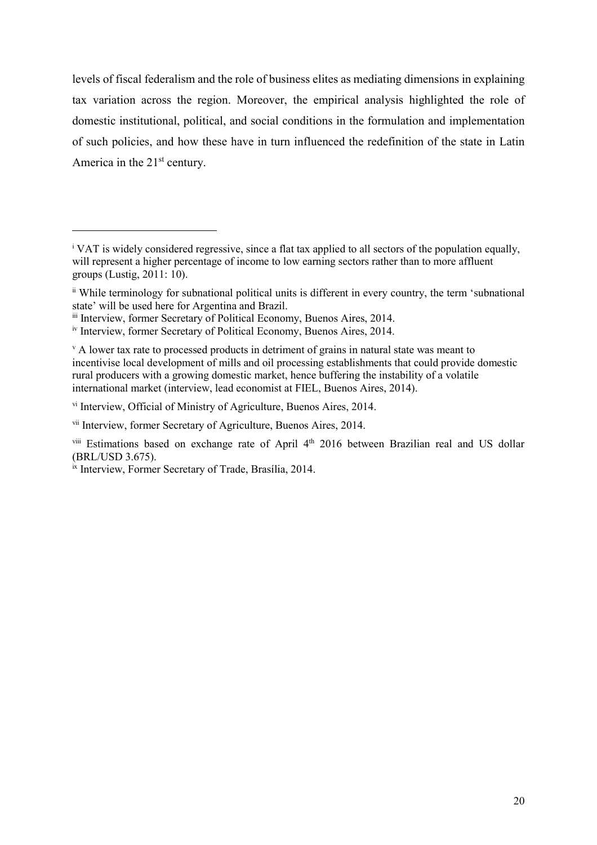levels of fiscal federalism and the role of business elites as mediating dimensions in explaining tax variation across the region. Moreover, the empirical analysis highlighted the role of domestic institutional, political, and social conditions in the formulation and implementation of such policies, and how these have in turn influenced the redefinition of the state in Latin America in the  $21<sup>st</sup>$  century.

<span id="page-20-5"></span>vi Interview, Official of Ministry of Agriculture, Buenos Aires, 2014.

 $\overline{a}$ 

<span id="page-20-0"></span><sup>i</sup> VAT is widely considered regressive, since a flat tax applied to all sectors of the population equally, will represent a higher percentage of income to low earning sectors rather than to more affluent groups (Lustig, 2011: 10).

<span id="page-20-1"></span>ii While terminology for subnational political units is different in every country, the term 'subnational state' will be used here for Argentina and Brazil.

<span id="page-20-2"></span>iii Interview, former Secretary of Political Economy, Buenos Aires, 2014.

<span id="page-20-3"></span>iv Interview, former Secretary of Political Economy, Buenos Aires, 2014.

<span id="page-20-4"></span> $\rm{v}$  A lower tax rate to processed products in detriment of grains in natural state was meant to incentivise local development of mills and oil processing establishments that could provide domestic rural producers with a growing domestic market, hence buffering the instability of a volatile international market (interview, lead economist at FIEL, Buenos Aires, 2014).

<span id="page-20-6"></span>vii Interview, former Secretary of Agriculture, Buenos Aires, 2014.

<span id="page-20-7"></span>viii Estimations based on exchange rate of April 4<sup>th</sup> 2016 between Brazilian real and US dollar (BRL/USD 3.675).

<span id="page-20-8"></span>ix Interview, Former Secretary of Trade, Brasília, 2014.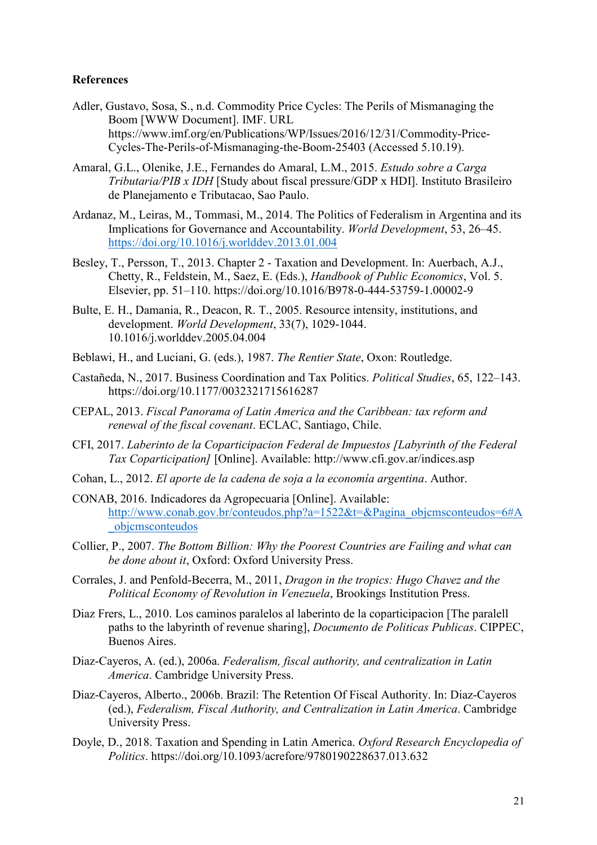# **References**

- Adler, Gustavo, Sosa, S., n.d. Commodity Price Cycles: The Perils of Mismanaging the Boom [WWW Document]. IMF. URL https://www.imf.org/en/Publications/WP/Issues/2016/12/31/Commodity-Price-Cycles-The-Perils-of-Mismanaging-the-Boom-25403 (Accessed 5.10.19).
- Amaral, G.L., Olenike, J.E., Fernandes do Amaral, L.M., 2015. *Estudo sobre a Carga Tributaria/PIB x IDH* [Study about fiscal pressure/GDP x HDI]. Instituto Brasileiro de Planejamento e Tributacao, Sao Paulo.
- Ardanaz, M., Leiras, M., Tommasi, M., 2014. The Politics of Federalism in Argentina and its Implications for Governance and Accountability. *World Development*, 53, 26–45. <https://doi.org/10.1016/j.worlddev.2013.01.004>
- Besley, T., Persson, T., 2013. Chapter 2 Taxation and Development. In: Auerbach, A.J., Chetty, R., Feldstein, M., Saez, E. (Eds.), *Handbook of Public Economics*, Vol. 5. Elsevier, pp. 51–110. https://doi.org/10.1016/B978-0-444-53759-1.00002-9
- Bulte, E. H., Damania, R., Deacon, R. T., 2005. Resource intensity, institutions, and development. *World Development*, 33(7), 1029-1044. 10.1016/j.worlddev.2005.04.004
- Beblawi, H., and Luciani, G. (eds.), 1987. *The Rentier State*, Oxon: Routledge.
- Castañeda, N., 2017. Business Coordination and Tax Politics. *Political Studies*, 65, 122–143. https://doi.org/10.1177/0032321715616287
- CEPAL, 2013. *Fiscal Panorama of Latin America and the Caribbean: tax reform and renewal of the fiscal covenant*. ECLAC, Santiago, Chile.
- CFI, 2017. *Laberinto de la Coparticipacion Federal de Impuestos [Labyrinth of the Federal Tax Coparticipation]* [Online]. Available: http://www.cfi.gov.ar/indices.asp
- Cohan, L., 2012. *El aporte de la cadena de soja a la economía argentina*. Author.
- CONAB, 2016. Indicadores da Agropecuaria [Online]. Available: [http://www.conab.gov.br/conteudos.php?a=1522&t=&Pagina\\_objcmsconteudos=6#A](http://www.conab.gov.br/conteudos.php?a=1522&t=&Pagina_objcmsconteudos=6#A_objcmsconteudos) [\\_objcmsconteudos](http://www.conab.gov.br/conteudos.php?a=1522&t=&Pagina_objcmsconteudos=6#A_objcmsconteudos)
- Collier, P., 2007. *The Bottom Billion: Why the Poorest Countries are Failing and what can be done about it*, Oxford: Oxford University Press.
- Corrales, J. and Penfold-Becerra, M., 2011, *Dragon in the tropics: Hugo Chavez and the Political Economy of Revolution in Venezuela*, Brookings Institution Press.
- Diaz Frers, L., 2010. Los caminos paralelos al laberinto de la coparticipacion [The paralell paths to the labyrinth of revenue sharing], *Documento de Politicas Publicas*. CIPPEC, Buenos Aires.
- Diaz-Cayeros, A. (ed.), 2006a. *Federalism, fiscal authority, and centralization in Latin America*. Cambridge University Press.
- Diaz-Cayeros, Alberto., 2006b. Brazil: The Retention Of Fiscal Authority. In: Diaz-Cayeros (ed.), *Federalism, Fiscal Authority, and Centralization in Latin America*. Cambridge University Press.
- Doyle, D., 2018. Taxation and Spending in Latin America. *Oxford Research Encyclopedia of Politics*. https://doi.org/10.1093/acrefore/9780190228637.013.632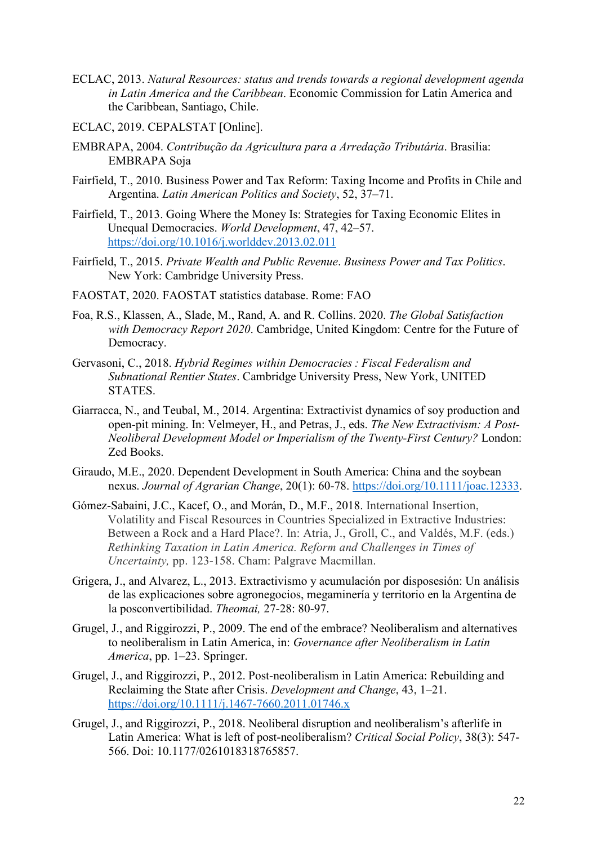- ECLAC, 2013. *Natural Resources: status and trends towards a regional development agenda in Latin America and the Caribbean*. Economic Commission for Latin America and the Caribbean, Santiago, Chile.
- ECLAC, 2019. CEPALSTAT [Online].
- EMBRAPA, 2004. *Contribução da Agricultura para a Arredação Tributária*. Brasilia: EMBRAPA Soja
- Fairfield, T., 2010. Business Power and Tax Reform: Taxing Income and Profits in Chile and Argentina. *Latin American Politics and Society*, 52, 37–71.
- Fairfield, T., 2013. Going Where the Money Is: Strategies for Taxing Economic Elites in Unequal Democracies. *World Development*, 47, 42–57. <https://doi.org/10.1016/j.worlddev.2013.02.011>
- Fairfield, T., 2015. *Private Wealth and Public Revenue*. *Business Power and Tax Politics*. New York: Cambridge University Press.
- FAOSTAT, 2020. FAOSTAT statistics database. Rome: FAO
- Foa, R.S., Klassen, A., Slade, M., Rand, A. and R. Collins. 2020. *The Global Satisfaction with Democracy Report 2020*. Cambridge, United Kingdom: Centre for the Future of Democracy.
- Gervasoni, C., 2018. *Hybrid Regimes within Democracies : Fiscal Federalism and Subnational Rentier States*. Cambridge University Press, New York, UNITED STATES.
- Giarracca, N., and Teubal, M., 2014. Argentina: Extractivist dynamics of soy production and open-pit mining. In: Velmeyer, H., and Petras, J., eds. *The New Extractivism: A Post-Neoliberal Development Model or Imperialism of the Twenty-First Century?* London: Zed Books.
- Giraudo, M.E., 2020. Dependent Development in South America: China and the soybean nexus. *Journal of Agrarian Change*, 20(1): 60-78. [https://doi.org/10.1111/joac.12333.](https://doi.org/10.1111/joac.12333)
- Gómez-Sabaini, J.C., Kacef, O., and Morán, D., M.F., 2018. International Insertion, Volatility and Fiscal Resources in Countries Specialized in Extractive Industries: Between a Rock and a Hard Place?. In: Atria, J., Groll, C., and Valdés, M.F. (eds.) *Rethinking Taxation in Latin America. Reform and Challenges in Times of Uncertainty,* pp. 123-158. Cham: Palgrave Macmillan.
- Grigera, J., and Alvarez, L., 2013. Extractivismo y acumulación por disposesión: Un análisis de las explicaciones sobre agronegocios, megaminería y territorio en la Argentina de la posconvertibilidad. *Theomai,* 27-28: 80-97.
- Grugel, J., and Riggirozzi, P., 2009. The end of the embrace? Neoliberalism and alternatives to neoliberalism in Latin America, in: *Governance after Neoliberalism in Latin America*, pp. 1–23. Springer.
- Grugel, J., and Riggirozzi, P., 2012. Post-neoliberalism in Latin America: Rebuilding and Reclaiming the State after Crisis. *Development and Change*, 43, 1–21. <https://doi.org/10.1111/j.1467-7660.2011.01746.x>
- Grugel, J., and Riggirozzi, P., 2018. Neoliberal disruption and neoliberalism's afterlife in Latin America: What is left of post-neoliberalism? *Critical Social Policy*, 38(3): 547- 566. Doi: 10.1177/0261018318765857.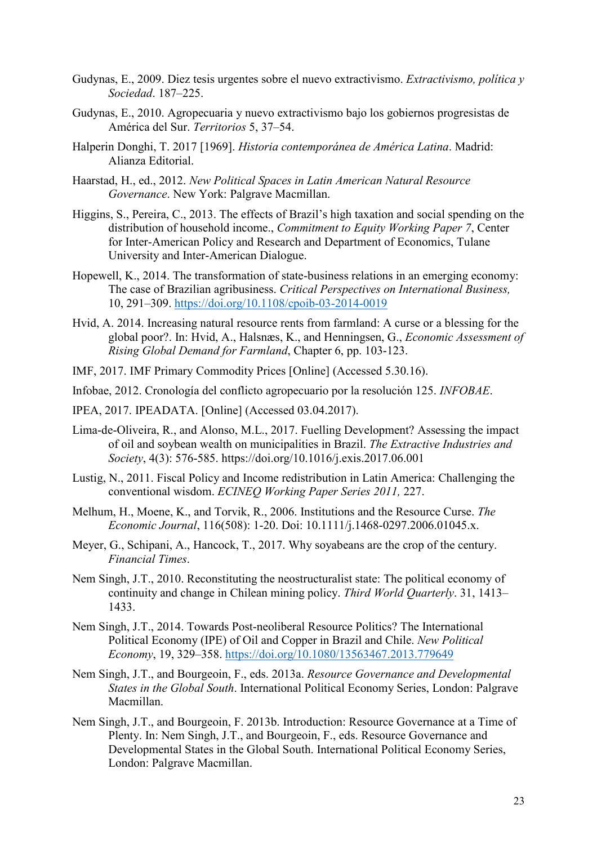- Gudynas, E., 2009. Diez tesis urgentes sobre el nuevo extractivismo. *Extractivismo, política y Sociedad*. 187–225.
- Gudynas, E., 2010. Agropecuaria y nuevo extractivismo bajo los gobiernos progresistas de América del Sur. *Territorios* 5, 37–54.
- Halperin Donghi, T. 2017 [1969]. *Historia contemporánea de América Latina*. Madrid: Alianza Editorial.
- Haarstad, H., ed., 2012. *New Political Spaces in Latin American Natural Resource Governance*. New York: Palgrave Macmillan.
- Higgins, S., Pereira, C., 2013. The effects of Brazil's high taxation and social spending on the distribution of household income., *Commitment to Equity Working Paper 7*, Center for Inter-American Policy and Research and Department of Economics, Tulane University and Inter-American Dialogue.
- Hopewell, K., 2014. The transformation of state-business relations in an emerging economy: The case of Brazilian agribusiness. *Critical Perspectives on International Business,* 10, 291–309.<https://doi.org/10.1108/cpoib-03-2014-0019>
- Hvid, A. 2014. Increasing natural resource rents from farmland: A curse or a blessing for the global poor?. In: Hvid, A., Halsnæs, K., and Henningsen, G., *Economic Assessment of Rising Global Demand for Farmland*, Chapter 6, pp. 103-123.
- IMF, 2017. IMF Primary Commodity Prices [Online] (Accessed 5.30.16).
- Infobae, 2012. Cronología del conflicto agropecuario por la resolución 125. *INFOBAE*.
- IPEA, 2017. IPEADATA. [Online] (Accessed 03.04.2017).
- Lima-de-Oliveira, R., and Alonso, M.L., 2017. Fuelling Development? Assessing the impact of oil and soybean wealth on municipalities in Brazil. *The Extractive Industries and Society*, 4(3): 576-585. [https://doi.org/10.1016/j.exis.2017.06.001](https://doi-org.libproxy.york.ac.uk/10.1016/j.exis.2017.06.001)
- Lustig, N., 2011. Fiscal Policy and Income redistribution in Latin America: Challenging the conventional wisdom. *ECINEQ Working Paper Series 2011,* 227.
- Melhum, H., Moene, K., and Torvik, R., 2006. Institutions and the Resource Curse. *The Economic Journal*, 116(508): 1-20. Doi: 10.1111/j.1468-0297.2006.01045.x.
- Meyer, G., Schipani, A., Hancock, T., 2017. Why soyabeans are the crop of the century. *Financial Times*.
- Nem Singh, J.T., 2010. Reconstituting the neostructuralist state: The political economy of continuity and change in Chilean mining policy. *Third World Quarterly*. 31, 1413– 1433.
- Nem Singh, J.T., 2014. Towards Post-neoliberal Resource Politics? The International Political Economy (IPE) of Oil and Copper in Brazil and Chile. *New Political Economy*, 19, 329–358.<https://doi.org/10.1080/13563467.2013.779649>
- Nem Singh, J.T., and Bourgeoin, F., eds. 2013a. *Resource Governance and Developmental States in the Global South*. International Political Economy Series, London: Palgrave Macmillan.
- Nem Singh, J.T., and Bourgeoin, F. 2013b. Introduction: Resource Governance at a Time of Plenty. In: Nem Singh, J.T., and Bourgeoin, F., eds. Resource Governance and Developmental States in the Global South. International Political Economy Series, London: Palgrave Macmillan.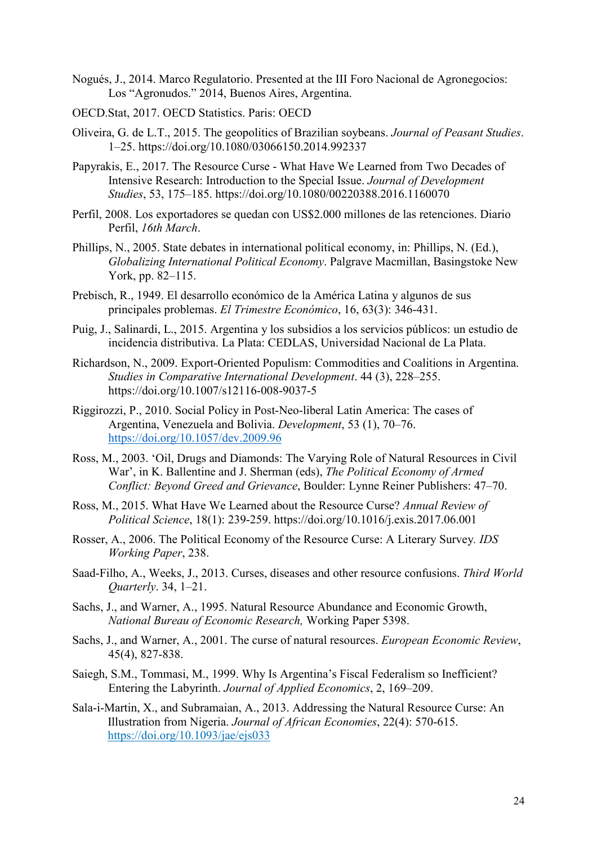- Nogués, J., 2014. Marco Regulatorio. Presented at the III Foro Nacional de Agronegocios: Los "Agronudos." 2014, Buenos Aires, Argentina.
- OECD.Stat, 2017. OECD Statistics. Paris: OECD
- Oliveira, G. de L.T., 2015. The geopolitics of Brazilian soybeans. *Journal of Peasant Studies*. 1–25. https://doi.org/10.1080/03066150.2014.992337
- Papyrakis, E., 2017. The Resource Curse What Have We Learned from Two Decades of Intensive Research: Introduction to the Special Issue. *Journal of Development Studies*, 53, 175–185. https://doi.org/10.1080/00220388.2016.1160070
- Perfil, 2008. Los exportadores se quedan con US\$2.000 millones de las retenciones. Diario Perfil, *16th March*.
- Phillips, N., 2005. State debates in international political economy, in: Phillips, N. (Ed.), *Globalizing International Political Economy*. Palgrave Macmillan, Basingstoke New York, pp. 82–115.
- Prebisch, R., 1949. El desarrollo económico de la América Latina y algunos de sus principales problemas. *El Trimestre Económico*, 16, 63(3): 346-431.
- Puig, J., Salinardi, L., 2015. Argentina y los subsidios a los servicios públicos: un estudio de incidencia distributiva. La Plata: CEDLAS, Universidad Nacional de La Plata.
- Richardson, N., 2009. Export-Oriented Populism: Commodities and Coalitions in Argentina. *Studies in Comparative International Development*. 44 (3), 228–255. https://doi.org/10.1007/s12116-008-9037-5
- Riggirozzi, P., 2010. Social Policy in Post-Neo-liberal Latin America: The cases of Argentina, Venezuela and Bolivia. *Development*, 53 (1), 70–76. <https://doi.org/10.1057/dev.2009.96>
- Ross, M., 2003. 'Oil, Drugs and Diamonds: The Varying Role of Natural Resources in Civil War', in K. Ballentine and J. Sherman (eds), *The Political Economy of Armed Conflict: Beyond Greed and Grievance*, Boulder: Lynne Reiner Publishers: 47–70.
- Ross, M., 2015. What Have We Learned about the Resource Curse? *Annual Review of Political Science*, 18(1): 239-259. [https://doi.org/10.1016/j.exis.2017.06.001](https://doi-org.libproxy.york.ac.uk/10.1016/j.exis.2017.06.001)
- Rosser, A., 2006. The Political Economy of the Resource Curse: A Literary Survey*. IDS Working Paper*, 238.
- Saad-Filho, A., Weeks, J., 2013. Curses, diseases and other resource confusions. *Third World Quarterly*. 34, 1–21.
- Sachs, J., and Warner, A., 1995. Natural Resource Abundance and Economic Growth, *National Bureau of Economic Research,* Working Paper 5398.
- Sachs, J., and Warner, A., 2001. The curse of natural resources. *European Economic Review*, 45(4), 827-838.
- Saiegh, S.M., Tommasi, M., 1999. Why Is Argentina's Fiscal Federalism so Inefficient? Entering the Labyrinth. *Journal of Applied Economics*, 2, 169–209.
- Sala-i-Martin, X., and Subramaian, A., 2013. Addressing the Natural Resource Curse: An Illustration from Nigeria. *Journal of African Economies*, 22(4): 570-615. <https://doi.org/10.1093/jae/ejs033>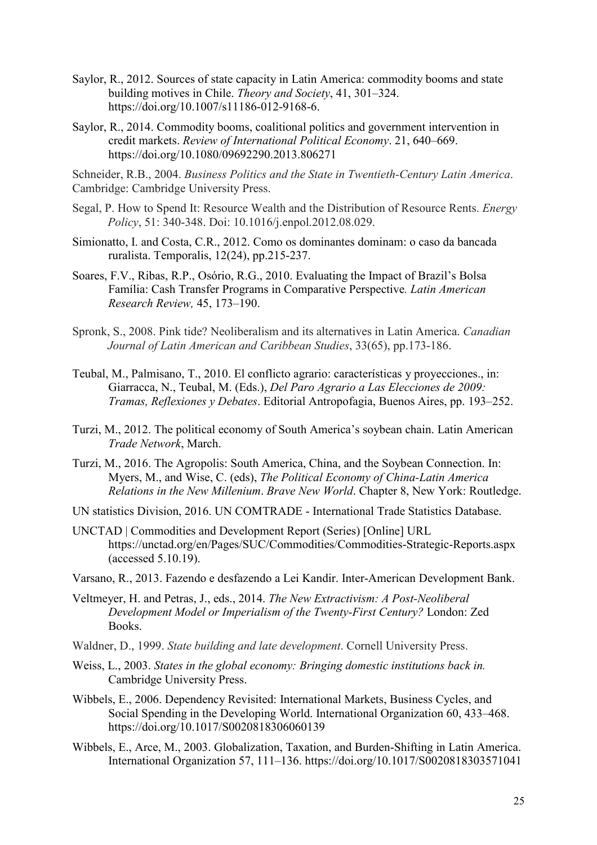- Saylor, R., 2012. Sources of state capacity in Latin America: commodity booms and state building motives in Chile. *Theory and Society*, 41, 301–324. https://doi.org/10.1007/s11186-012-9168-6.
- Saylor, R., 2014. Commodity booms, coalitional politics and government intervention in credit markets. *Review of International Political Economy*. 21, 640–669. https://doi.org/10.1080/09692290.2013.806271

Schneider, R.B., 2004. *Business Politics and the State in Twentieth-Century Latin America*. Cambridge: Cambridge University Press.

- Segal, P. How to Spend It: Resource Wealth and the Distribution of Resource Rents. *Energy Policy*, 51: 340-348. Doi: 10.1016/j.enpol.2012.08.029.
- Simionatto, I. and Costa, C.R., 2012. Como os dominantes dominam: o caso da bancada ruralista. Temporalis, 12(24), pp.215-237.
- Soares, F.V., Ribas, R.P., Osório, R.G., 2010. Evaluating the Impact of Brazil's Bolsa Família: Cash Transfer Programs in Comparative Perspective*. Latin American Research Review,* 45, 173–190.
- Spronk, S., 2008. Pink tide? Neoliberalism and its alternatives in Latin America. *Canadian Journal of Latin American and Caribbean Studies*, 33(65), pp.173-186.
- Teubal, M., Palmisano, T., 2010. El conflicto agrario: características y proyecciones., in: Giarracca, N., Teubal, M. (Eds.), *Del Paro Agrario a Las Elecciones de 2009: Tramas, Reflexiones y Debates*. Editorial Antropofagia, Buenos Aires, pp. 193–252.
- Turzi, M., 2012. The political economy of South America's soybean chain. Latin American *Trade Network*, March.
- Turzi, M., 2016. The Agropolis: South America, China, and the Soybean Connection. In: Myers, M., and Wise, C. (eds), *The Political Economy of China-Latin America Relations in the New Millenium*. *Brave New World*. Chapter 8, New York: Routledge.
- UN statistics Division, 2016. UN COMTRADE International Trade Statistics Database.
- UNCTAD | Commodities and Development Report (Series) [Online] URL https://unctad.org/en/Pages/SUC/Commodities/Commodities-Strategic-Reports.aspx (accessed 5.10.19).
- Varsano, R., 2013. Fazendo e desfazendo a Lei Kandir. Inter-American Development Bank.
- Veltmeyer, H. and Petras, J., eds., 2014. *The New Extractivism: A Post-Neoliberal Development Model or Imperialism of the Twenty-First Century?* London: Zed Books.
- Waldner, D., 1999. *State building and late development*. Cornell University Press.
- Weiss, L., 2003. *States in the global economy: Bringing domestic institutions back in.* Cambridge University Press.
- Wibbels, E., 2006. Dependency Revisited: International Markets, Business Cycles, and Social Spending in the Developing World. International Organization 60, 433–468. https://doi.org/10.1017/S0020818306060139
- Wibbels, E., Arce, M., 2003. Globalization, Taxation, and Burden-Shifting in Latin America. International Organization 57, 111–136. https://doi.org/10.1017/S0020818303571041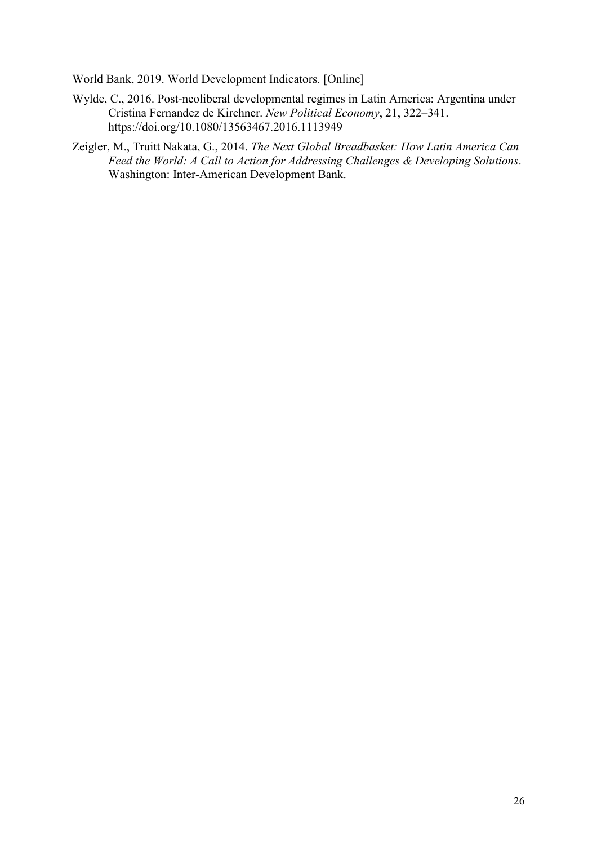World Bank, 2019. World Development Indicators. [Online]

- Wylde, C., 2016. Post-neoliberal developmental regimes in Latin America: Argentina under Cristina Fernandez de Kirchner. *New Political Economy*, 21, 322–341. https://doi.org/10.1080/13563467.2016.1113949
- Zeigler, M., Truitt Nakata, G., 2014. *The Next Global Breadbasket: How Latin America Can Feed the World: A Call to Action for Addressing Challenges & Developing Solutions*. Washington: Inter-American Development Bank.